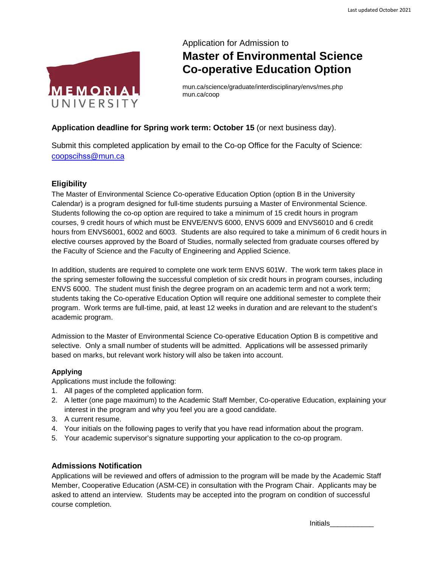

# Application for Admission to **Master of Environmental Science Co-operative Education Option**

mun.ca/science/graduate/interdisciplinary/envs/mes.php mun.ca/coop

## **Application deadline for Spring work term: October 15** (or next business day).

Submit this completed application by email to the Co-op Office for the Faculty of Science: coopscihss[@mun.ca](coopscihss@mun.ca)

## **Eligibility**

The Master of Environmental Science Co-operative Education Option (option B in the University Calendar) is a program designed for full-time students pursuing a Master of Environmental Science. Students following the co-op option are required to take a minimum of 15 credit hours in program courses, 9 credit hours of which must be ENVE/ENVS 6000, ENVS 6009 and ENVS6010 and 6 credit hours from ENVS6001, 6002 and 6003. Students are also required to take a minimum of 6 credit hours in elective courses approved by the Board of Studies, normally selected from graduate courses offered by the Faculty of Science and the Faculty of Engineering and Applied Science.

In addition, students are required to complete one work term ENVS 601W. The work term takes place in the spring semester following the successful completion of six credit hours in program courses, including ENVS 6000. The student must finish the degree program on an academic term and not a work term; students taking the Co-operative Education Option will require one additional semester to complete their program. Work terms are full-time, paid, at least 12 weeks in duration and are relevant to the student's academic program.

Admission to the Master of Environmental Science Co-operative Education Option B is competitive and selective. Only a small number of students will be admitted. Applications will be assessed primarily based on marks, but relevant work history will also be taken into account.

## **Applying**

Applications must include the following:

- 1. All pages of the completed application form.
- 2. A letter (one page maximum) to the Academic Staff Member, Co-operative Education, explaining your interest in the program and why you feel you are a good candidate.
- 3. A current resume.
- 4. Your initials on the following pages to verify that you have read information about the program.
- 5. Your academic supervisor's signature supporting your application to the co-op program.

## **Admissions Notification**

Applications will be reviewed and offers of admission to the program will be made by the Academic Staff Member, Cooperative Education (ASM-CE) in consultation with the Program Chair. Applicants may be asked to attend an interview. Students may be accepted into the program on condition of successful course completion.

Initials\_\_\_\_\_\_\_\_\_\_\_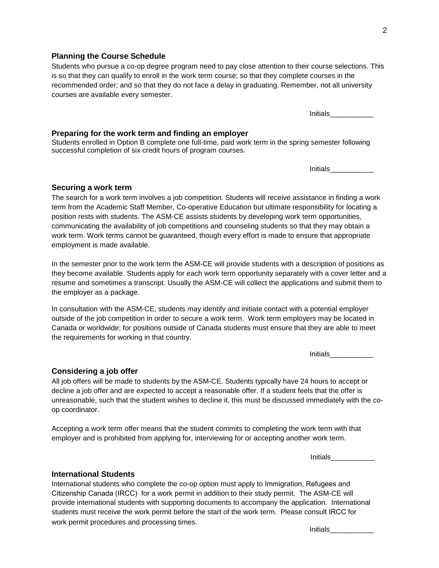#### **Planning the Course Schedule**

## Students who pursue a co-op degree program need to pay close attention to their course selections. This is so that they can qualify to enroll in the work term course; so that they complete courses in the recommended order; and so that they do not face a delay in graduating. Remember, not all university courses are available every semester.

Initials\_\_\_\_\_\_\_\_\_\_\_

#### **Preparing for the work term and finding an employer**

Students enrolled in Option B complete one full-time, paid work term in the spring semester following successful completion of six credit hours of program courses.

Initials

#### **Securing a work term**

The search for a work term involves a job competition. Students will receive assistance in finding a work term from the Academic Staff Member, Co-operative Education but ultimate responsibility for locating a position rests with students. The ASM-CE assists students by developing work term opportunities, communicating the availability of job competitions and counseling students so that they may obtain a work term. Work terms cannot be guaranteed, though every effort is made to ensure that appropriate employment is made available.

In the semester prior to the work term the ASM-CE will provide students with a description of positions as they become available. Students apply for each work term opportunity separately with a cover letter and a resume and sometimes a transcript. Usually the ASM-CE will collect the applications and submit them to the employer as a package.

In consultation with the ASM-CE, students may identify and initiate contact with a potential employer outside of the job competition in order to secure a work term. Work term employers may be located in Canada or worldwide; for positions outside of Canada students must ensure that they are able to meet the requirements for working in that country.

Initials\_\_\_\_\_\_\_\_\_\_\_

#### **Considering a job offer**

All job offers will be made to students by the ASM-CE. Students typically have 24 hours to accept or decline a job offer and are expected to accept a reasonable offer. If a student feels that the offer is unreasonable, such that the student wishes to decline it, this must be discussed immediately with the coop coordinator.

Accepting a work term offer means that the student commits to completing the work term with that employer and is prohibited from applying for, interviewing for or accepting another work term.

Initials\_\_\_\_\_\_\_\_\_\_\_

#### **International Students**

International students who complete the co-op option must apply to Immigration, Refugees and Citizenship Canada (IRCC) for a work permit in addition to their study permit. The ASM-CE will provide international students with supporting documents to accompany the application. International students must receive the work permit before the start of the work term. Please consult IRCC for work permit procedures and processing times.

Initials\_\_\_\_\_\_\_\_\_\_\_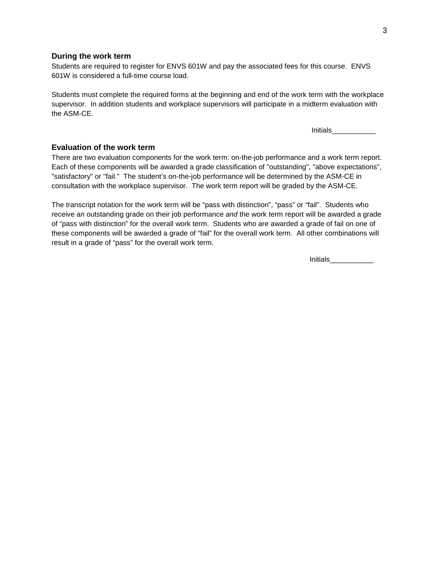#### **During the work term**

Students are required to register for ENVS 601W and pay the associated fees for this course. ENVS 601W is considered a full-time course load.

Students must complete the required forms at the beginning and end of the work term with the workplace supervisor. In addition students and workplace supervisors will participate in a midterm evaluation with the ASM-CE.

Initials\_\_\_\_\_\_\_\_\_\_\_

### **Evaluation of the work term**

There are two evaluation components for the work term: on-the-job performance and a work term report. Each of these components will be awarded a grade classification of "outstanding", "above expectations", "satisfactory" or "fail." The student's on-the-job performance will be determined by the ASM-CE in consultation with the workplace supervisor. The work term report will be graded by the ASM-CE.

The transcript notation for the work term will be "pass with distinction", "pass" or "fail". Students who receive an outstanding grade on their job performance *and* the work term report will be awarded a grade of "pass with distinction" for the overall work term. Students who are awarded a grade of fail on one of these components will be awarded a grade of "fail" for the overall work term. All other combinations will result in a grade of "pass" for the overall work term.

Initials